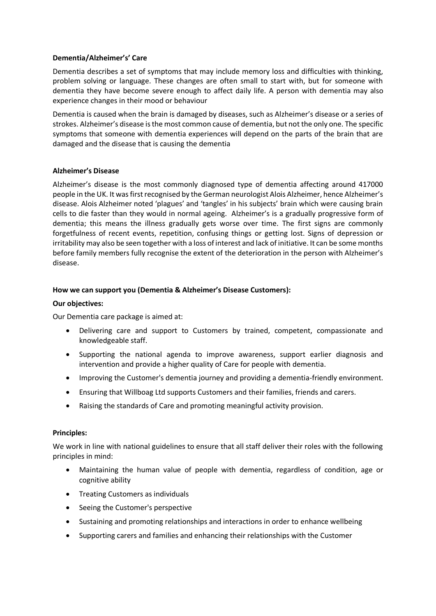## **Dementia/Alzheimer's' Care**

Dementia describes a set of symptoms that may include memory loss and difficulties with thinking, problem solving or language. These changes are often small to start with, but for someone with dementia they have become severe enough to affect daily life. A person with dementia may also experience changes in their mood or behaviour

Dementia is caused when the brain is damaged by diseases, such as Alzheimer's disease or a series of strokes. Alzheimer's disease is the most common cause of dementia, but not the only one. The specific symptoms that someone with dementia experiences will depend on the parts of the brain that are damaged and the disease that is causing the dementia

# **Alzheimer's Disease**

Alzheimer's disease is the most commonly diagnosed type of dementia affecting around 417000 people in the UK. It was first recognised by the German neurologist Alois Alzheimer, hence Alzheimer's disease. Alois Alzheimer noted 'plagues' and 'tangles' in his subjects' brain which were causing brain cells to die faster than they would in normal ageing. Alzheimer's is a gradually progressive form of dementia; this means the illness gradually gets worse over time. The first signs are commonly forgetfulness of recent events, repetition, confusing things or getting lost. Signs of depression or irritability may also be seen together with a loss of interest and lack of initiative. It can be some months before family members fully recognise the extent of the deterioration in the person with Alzheimer's disease.

# **How we can support you (Dementia & Alzheimer's Disease Customers):**

### **Our objectives:**

Our Dementia care package is aimed at:

- Delivering care and support to Customers by trained, competent, compassionate and knowledgeable staff.
- Supporting the national agenda to improve awareness, support earlier diagnosis and intervention and provide a higher quality of Care for people with dementia.
- Improving the Customer's dementia journey and providing a dementia-friendly environment.
- Ensuring that Willboag Ltd supports Customers and their families, friends and carers.
- Raising the standards of Care and promoting meaningful activity provision.

### **Principles:**

We work in line with national guidelines to ensure that all staff deliver their roles with the following principles in mind:

- Maintaining the human value of people with dementia, regardless of condition, age or cognitive ability
- Treating Customers as individuals
- Seeing the Customer's perspective
- Sustaining and promoting relationships and interactions in order to enhance wellbeing
- Supporting carers and families and enhancing their relationships with the Customer